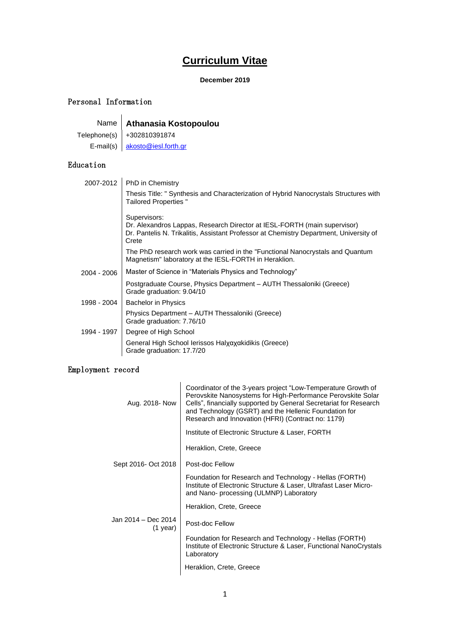# **Curriculum Vitae**

## **December 2019**

## Personal Information

Name **Athanasia Kostopoulou**

Telephone(s) +302810391874 E-mail(s) [akosto@iesl.forth.gr](mailto:akosto@iesl.forth.gr)

## Education

| 2007-2012   | PhD in Chemistry                                                                                                                                                                            |
|-------------|---------------------------------------------------------------------------------------------------------------------------------------------------------------------------------------------|
|             | Thesis Title: " Synthesis and Characterization of Hybrid Nanocrystals Structures with<br>Tailored Properties "                                                                              |
|             | Supervisors:<br>Dr. Alexandros Lappas, Research Director at IESL-FORTH (main supervisor)<br>Dr. Pantelis N. Trikalitis, Assistant Professor at Chemistry Department, University of<br>Crete |
|             | The PhD research work was carried in the "Functional Nanocrystals and Quantum<br>Magnetism" laboratory at the IESL-FORTH in Heraklion.                                                      |
| 2004 - 2006 | Master of Science in "Materials Physics and Technology"                                                                                                                                     |
|             | Postgraduate Course, Physics Department – AUTH Thessaloniki (Greece)<br>Grade graduation: 9.04/10                                                                                           |
| 1998 - 2004 | <b>Bachelor in Physics</b>                                                                                                                                                                  |
|             | Physics Department - AUTH Thessaloniki (Greece)<br>Grade graduation: 7.76/10                                                                                                                |
| 1994 - 1997 | Degree of High School                                                                                                                                                                       |
|             | General High School Ierissos Halχαχαkidikis (Greece)<br>Grade graduation: 17.7/20                                                                                                           |
|             |                                                                                                                                                                                             |

## Employment record

| Aug. 2018- Now                    | Coordinator of the 3-years project "Low-Temperature Growth of<br>Perovskite Nanosystems for High-Performance Perovskite Solar<br>Cells", financially supported by General Secretariat for Research<br>and Technology (GSRT) and the Hellenic Foundation for<br>Research and Innovation (HFRI) (Contract no: 1179) |  |  |  |
|-----------------------------------|-------------------------------------------------------------------------------------------------------------------------------------------------------------------------------------------------------------------------------------------------------------------------------------------------------------------|--|--|--|
|                                   | Institute of Electronic Structure & Laser, FORTH                                                                                                                                                                                                                                                                  |  |  |  |
|                                   | Heraklion, Crete, Greece                                                                                                                                                                                                                                                                                          |  |  |  |
| Sept 2016- Oct 2018               | Post-doc Fellow                                                                                                                                                                                                                                                                                                   |  |  |  |
|                                   | Foundation for Research and Technology - Hellas (FORTH)<br>Institute of Electronic Structure & Laser, Ultrafast Laser Micro-<br>and Nano- processing (ULMNP) Laboratory                                                                                                                                           |  |  |  |
|                                   | Heraklion, Crete, Greece                                                                                                                                                                                                                                                                                          |  |  |  |
| Jan 2014 - Dec 2014<br>$(1$ year) | Post-doc Fellow                                                                                                                                                                                                                                                                                                   |  |  |  |
|                                   | Foundation for Research and Technology - Hellas (FORTH)<br>Institute of Electronic Structure & Laser, Functional NanoCrystals<br>Laboratory                                                                                                                                                                       |  |  |  |
|                                   | Heraklion, Crete, Greece                                                                                                                                                                                                                                                                                          |  |  |  |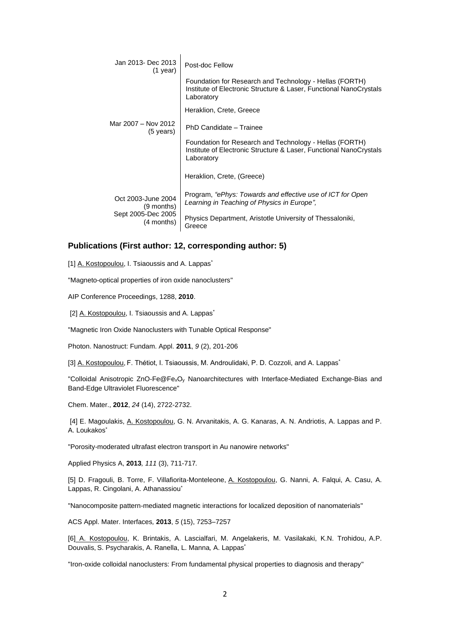| Jan 2013- Dec 2013<br>$(1$ year)           | Post-doc Fellow                                                                                                                             |  |  |  |
|--------------------------------------------|---------------------------------------------------------------------------------------------------------------------------------------------|--|--|--|
|                                            | Foundation for Research and Technology - Hellas (FORTH)<br>Institute of Electronic Structure & Laser, Functional NanoCrystals<br>Laboratory |  |  |  |
|                                            | Heraklion, Crete, Greece                                                                                                                    |  |  |  |
| Mar 2007 - Nov 2012<br>$(5 \text{ years})$ | PhD Candidate - Trainee                                                                                                                     |  |  |  |
|                                            | Foundation for Research and Technology - Hellas (FORTH)<br>Institute of Electronic Structure & Laser, Functional NanoCrystals<br>Laboratory |  |  |  |
|                                            | Heraklion, Crete, (Greece)                                                                                                                  |  |  |  |
| Oct 2003-June 2004<br>(9 months)           | Program, "ePhys: Towards and effective use of ICT for Open<br>Learning in Teaching of Physics in Europe".                                   |  |  |  |
| Sept 2005-Dec 2005<br>(4 months)           | Physics Department, Aristotle University of Thessaloniki,<br>Greece                                                                         |  |  |  |

### **Publications (First author: 12, corresponding author: 5)**

 $\mathbf{I}$ 

[1] A. Kostopoulou, I. Tsiaoussis and A. Lappas<sup>\*</sup>

["Magneto-optical properties of iron oxide nanoclusters"](https://www.scopus.com/record/display.uri?eid=2-s2.0-78651100113&origin=resultslist&sort=plf-f&src=s&sid=4F500CE715F861B4E88A929126ABC649.mw4ft95QGjz1tIFG9A1uw%3a720&sot=autdocs&sdt=autdocs&sl=18&s=AU-ID%2836188335000%29&relpos=15&citeCnt=0&searchTerm=)

[AIP Conference Proceedings,](https://www.scopus.com/source/sourceInfo.uri?sourceId=26916&origin=resultslist) 1288, **2010**.

[2] A. Kostopoulou, I. Tsiaoussis and A. Lappas<sup>\*</sup>

"Magnetic Iron Oxide Nanoclusters with Tunable Optical Response"

Photon. Nanostruct: Fundam. Appl. **2011**, *9* (2), 201-206

[3] A. Kostopoulou, F. Thétiot, I. Tsiaoussis, M. Androulidaki, P. D. Cozzoli, and A. Lappas<sup>\*</sup>

"Colloidal Anisotropic ZnO-Fe@FexO<sup>y</sup> Nanoarchitectures with Interface-Mediated Exchange-Bias and Band-Edge Ultraviolet Fluorescence"

Chem. Mater., **2012**, *24* (14), 2722-2732.

[4] E. Magoulakis, A. Kostopoulou, G. N. Arvanitakis, A. G. Kanaras, A. N. Andriotis, A. Lappas and P. A. Loukakos\*

"Porosity-moderated ultrafast electron transport in Au nanowire networks"

[Applied Physics A,](http://link.springer.com/journal/339) **2013***, 111* (3), 711-717*.* 

[5] D. Fragouli, B. Torre, F. Villafiorita-Monteleone, A. Kostopoulou, G. Nanni, A. Falqui, A. Casu, A. Lappas, R. Cingolani, A. Athanassiou\*

"Nanocomposite pattern-mediated magnetic interactions for localized deposition of nanomaterials"

ACS Appl. Mater. Interfaces*,* **2013**, *5* (15), 7253–7257

[6] A. Kostopoulou, K. Brintakis, A. Lascialfari, M. Angelakeris, M. Vasilakaki, K.N. Trohidou, A.P. Douvalis, S. Psycharakis, A. [Ranella,](https://www.scopus.com/authid/detail.uri?authorId=23010133500&eid=2-s2.0-84901610544) L. Manna*,* A. Lappas\*

["Iron-oxide colloidal nanoclusters: From fundamental physical properties to diagnosis and therapy"](https://www.scopus.com/record/display.uri?eid=2-s2.0-84901610544&origin=resultslist&sort=plf-f&src=s&sid=4F500CE715F861B4E88A929126ABC649.mw4ft95QGjz1tIFG9A1uw%3a100&sot=autdocs&sdt=autdocs&sl=18&s=AU-ID%2836188335000%29&relpos=9&citeCnt=1&searchTerm=)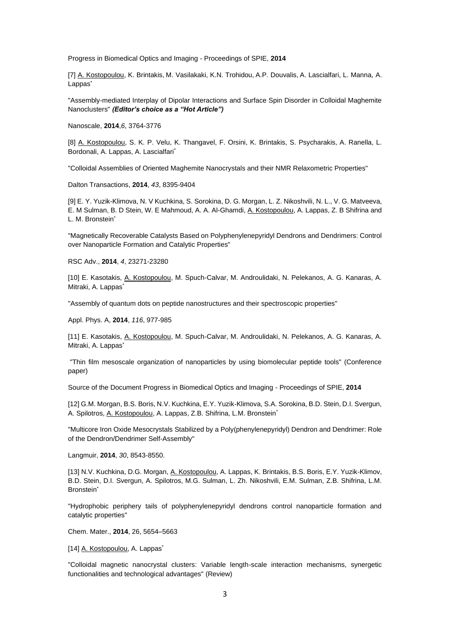Progress in Biomedical Optics and Imaging - Proceedings of SPIE, **2014**

[7] A. Kostopoulou, K. Brintakis, M. Vasilakaki, K.N. Trohidou, A.P. Douvalis, A. Lascialfari, L. Manna*,* A. Lappas<sup>\*</sup>

"Assembly-mediated Interplay of Dipolar Interactions and Surface Spin Disorder in Colloidal Maghemite Nanoclusters" *(Editor's choice as a "Hot Article")*

Nanoscale, **2014**,*6*, 3764-3776

[8] A. Kostopoulou, S. K. P. Velu, K. Thangavel, F. Orsini, K. Brintakis, S. Psycharakis, A. Ranella, L. Bordonali, A. Lappas, A. Lascialfari\*

"Colloidal Assemblies of Oriented Maghemite Nanocrystals and their NMR Relaxometric Properties"

Dalton Transactions, **2014**, *43*, 8395-9404

[9[\] E. Y. Yuzik-Klimova,](http://pubs.rsc.org/en/results?searchtext=Author%3AEkaterina%20Yu%20Yuzik-Klimova) [N. V Kuchkina,](http://pubs.rsc.org/en/results?searchtext=Author%3ANina%20V%20Kuchkina) [S. Sorokina,](http://pubs.rsc.org/en/results?searchtext=Author%3ASvetlana%20Sorokina) [D. G. Morgan,](http://pubs.rsc.org/en/results?searchtext=Author%3ADavid%20G%20Morgan) [L. Z. Nikoshvili,](http://pubs.rsc.org/en/results?searchtext=Author%3ALinda%20Zh%20Nikoshvili) [N. L.,](http://pubs.rsc.org/en/results?searchtext=Author%3ANadezhda%20Lyubimova) [V. G. Matveeva,](http://pubs.rsc.org/en/results?searchtext=Author%3AValentina%20G%20Matveeva) [E. M Sulman,](http://pubs.rsc.org/en/results?searchtext=Author%3AEsther%20M%20Sulman) [B. D Stein,](http://pubs.rsc.org/en/results?searchtext=Author%3ABarry%20D%20Stein) [W. E Mahmoud,](http://pubs.rsc.org/en/results?searchtext=Author%3AWaleed%20E%20Mahmoud) [A. A. Al-Ghamdi,](http://pubs.rsc.org/en/results?searchtext=Author%3AAhmed%20A%20Al-Ghamdi) [A. Kostopoulou,](http://pubs.rsc.org/en/results?searchtext=Author%3AAthanasia%20Kostopoulou) [A. Lappas,](http://pubs.rsc.org/en/results?searchtext=Author%3AAlexandros%20Lappas) [Z. B Shifrina](http://pubs.rsc.org/en/results?searchtext=Author%3AZinaida%20B%20Shifrina) and [L. M. Bronstein](http://pubs.rsc.org/en/results?searchtext=Author%3ALyudmila%20M%20Bronstein)<sup>\*</sup>

"Magnetically Recoverable Catalysts Based on Polyphenylenepyridyl Dendrons and Dendrimers: Control over Nanoparticle Formation and Catalytic Properties"

RSC Adv., **2014**, *4*, 23271-23280

[10] E. Kasotakis, A. Kostopoulou, M. Spuch-Calvar, M. Androulidaki, N. Pelekanos, A. G. Kanaras, A. Mitraki, A. Lappas<sup>\*</sup>

"Assembly of quantum dots on peptide nanostructures and their spectroscopic properties"

Appl. Phys. A, **2014**, *116*, 977-985

[11] E. Kasotakis, A. Kostopoulou, M. Spuch-Calvar, M. Androulidaki, N. Pelekanos, A. G. Kanaras, A. Mitraki, A. Lappas<sup>\*</sup>

"Thin film mesoscale organization of nanoparticles by using biomolecular peptide tools" (Conference paper)

Source of the Document Progress in Biomedical Optics and Imaging - Proceedings of SPIE, **2014**

[12] G.M. Morgan, B.S. Boris, N.V. Kuchkina, E.Y. Yuzik-Klimova, S.A. Sorokina, B.D. Stein, D.I. Svergun, A. Spilotros, A. Kostopoulou, A. Lappas, Z.B. Shifrina, L.M. Bronstein\*

"Multicore Iron Oxide Mesocrystals Stabilized by a Poly(phenylenepyridyl) Dendron and Dendrimer: Role of the Dendron/Dendrimer Self-Assembly"

Langmuir, **2014**, *30*, 8543-8550.

[13] N.V. Kuchkina, D.G. Morgan, A. Kostopoulou, A. Lappas, K. Brintakis, B.S. Boris, E.Y. Yuzik-Klimov, B.D. Stein, D.I. Svergun, A. Spilotros, M.G. Sulman, L. Zh. Nikoshvili, E.M. Sulman, Z.B. Shifrina, L.M. Bronstein<sup>\*</sup>

"Hydrophobic periphery tails of polyphenylenepyridyl dendrons control nanoparticle formation and catalytic properties"

Chem. Mater., **2014**, 26, 5654–5663

[14] A. Kostopoulou, A. Lappas\*

"Colloidal magnetic nanocrystal clusters: Variable length-scale interaction mechanisms, synergetic functionalities and technological advantages" (Review)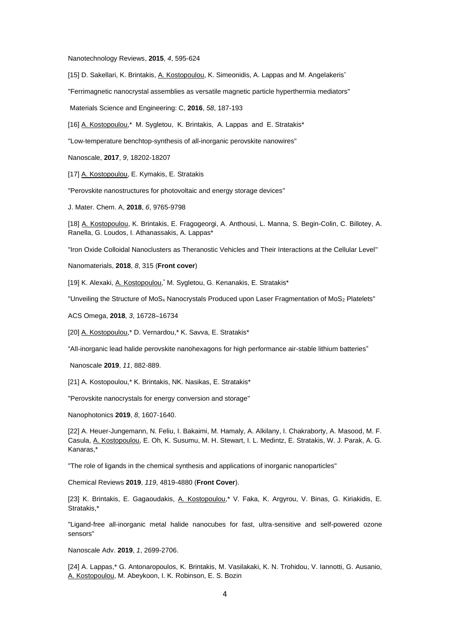[Nanotechnology Reviews,](https://www.scopus.com/source/sourceInfo.uri?sourceId=21100372101&origin=recordpage) **2015**, *4*, 595-624

[15] D. Sakellari, K. Brintakis, A. Kostopoulou, K. Simeonidis, A. Lappas and M. Angelakeris<sup>\*</sup>

"Ferrimagnetic nanocrystal assemblies as versatile magnetic particle hyperthermia mediators"

Materials Science and Engineering: C, **2016**, *58*, 187-193

[16] A. Kostopoulou,\* M. Sygletou, K. Brintakis, A. Lappas and E. Stratakis\*

"Low-temperature benchtop-synthesis of all-inorganic perovskite nanowires"

Nanoscale, **2017**, *9*, 18202-18207

[17] A. Kostopoulou, E. Kymakis, E. Stratakis

["Perovskite nanostructures for photovoltaic and energy storage devices"](http://pubs.rsc.org/en/content/articlehtml/2018/ta/c8ta01964a)

J. Mater. Chem. A, **2018**, *6*, 9765-9798

[18] A. Kostopoulou, K. Brintakis, E. Fragogeorgi, A. Anthousi, L. Manna, S. Begin-Colin, C. Billotey, A. Ranella, G. Loudos, I. Athanassakis, A. Lappas\*

"Iron Oxide Colloidal Nanoclusters as Theranostic Vehicles and Their Interactions at the Cellular Level"

Nanomaterials, **2018**, *8*, 315 (**Front cover**)

[19] K. Alexaki, A. Kostopoulou, M. Sygletou, G. Kenanakis, E. Stratakis\*

"Unveiling the Structure of MoS<sub>x</sub> Nanocrystals Produced upon Laser Fragmentation of MoS<sub>2</sub> Platelets"

ACS Omega, **2018**, *3*, 16728–16734

[20] A. Kostopoulou,\* D. Vernardou,\* K. Savva, E. Stratakis\*

"All-inorganic lead halide perovskite nanohexagons for high performance air-stable lithium batteries"

Nanoscale **2019**, *11*, 882-889.

[21] A. Kostopoulou,\* K. Brintakis, NK. Nasikas, E. Stratakis\*

"Perovskite nanocrystals for energy conversion and storage"

Nanophotonics **2019**, *8*, 1607-1640.

[22] A. Heuer-Jungemann, N. Feliu, I. Bakaimi, M. Hamaly, A. Alkilany, I. Chakraborty, A. Masood, M. F. Casula, A. Kostopoulou, E. Oh, K. Susumu, M. H. Stewart, I. L. Medintz, E. Stratakis, W. J. Parak, A. G. Kanaras,\*

"The role of ligands in the chemical synthesis and applications of inorganic nanoparticles"

Chemical Reviews **2019**, *119*, 4819-4880 (**Front Cover**).

[23] K. Brintakis, E. Gagaoudakis, A. Kostopoulou,\* V. Faka, K. Argyrou, V. Binas, G. Kiriakidis, E. Stratakis,\*

"Ligand-free all-inorganic metal halide nanocubes for fast, ultra-sensitive and self-powered ozone sensors"

Nanoscale Adv. **2019**, *1*, 2699-2706.

[24] A. Lappas,\* G. Antonaropoulos, K. Brintakis, M. Vasilakaki, K. N. Trohidou, V. Iannotti, G. Ausanio, A. Kostopoulou, M. Abeykoon, I. K. Robinson, E. S. Bozin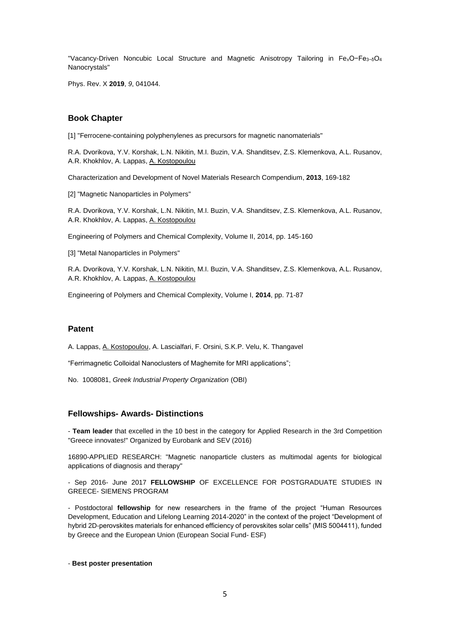"Vacancy-Driven Noncubic Local Structure and Magnetic Anisotropy Tailoring in FexO−Fe3−δO<sup>4</sup> Nanocrystals"

Phys. Rev. X **2019**, *9*, 041044.

#### **Book Chapter**

[1] "Ferrocene-containing polyphenylenes as precursors for magnetic nanomaterials"

R.A. Dvorikova, Y.V[. Korshak,](https://www.scopus.com/authid/detail.uri?authorId=6602761514&eid=2-s2.0-84933042079) L.N[. Nikitin,](https://www.scopus.com/authid/detail.uri?authorId=7005541737&eid=2-s2.0-84933042079) M.I. Buzin, V.A[. Shanditsev, Z](https://www.scopus.com/authid/detail.uri?authorId=6507588732&eid=2-s2.0-84933042079).S. [Klemenkova, A](https://www.scopus.com/authid/detail.uri?authorId=6602307097&eid=2-s2.0-84933042079).L. [Rusanov,](https://www.scopus.com/authid/detail.uri?authorId=35451263800&eid=2-s2.0-84933042079) A.R. [Khokhlov,](https://www.scopus.com/authid/detail.uri?authorId=7201745735&eid=2-s2.0-84933042079) A. [Lappas, A](https://www.scopus.com/authid/detail.uri?authorId=55410872000&eid=2-s2.0-84933042079). Kostopoulou

[Characterization and Development of Novel Materials Research Compendium,](https://www.scopus.com/record/display.uri?eid=2-s2.0-84933050219&origin=recordpage) **2013**, 169-182

[2] "Magnetic Nanoparticles in Polymers"

R.A. Dvorikova, Y.V[. Korshak,](https://www.scopus.com/authid/detail.uri?authorId=6602761514&eid=2-s2.0-84933042079) L.N[. Nikitin,](https://www.scopus.com/authid/detail.uri?authorId=7005541737&eid=2-s2.0-84933042079) M.I. Buzin, V.A[. Shanditsev, Z](https://www.scopus.com/authid/detail.uri?authorId=6507588732&eid=2-s2.0-84933042079).S. [Klemenkova, A](https://www.scopus.com/authid/detail.uri?authorId=6602307097&eid=2-s2.0-84933042079).L. [Rusanov,](https://www.scopus.com/authid/detail.uri?authorId=35451263800&eid=2-s2.0-84933042079) A.R. [Khokhlov,](https://www.scopus.com/authid/detail.uri?authorId=7201745735&eid=2-s2.0-84933042079) A. [Lappas, A](https://www.scopus.com/authid/detail.uri?authorId=55410872000&eid=2-s2.0-84933042079). Kostopoulou

Engineering of Polymers and Chemical Complexity, Volume II, 2014, pp. 145-160

[3] "Metal Nanoparticles in Polymers"

R.A. Dvorikova, Y.V[. Korshak,](https://www.scopus.com/authid/detail.uri?authorId=6602761514&eid=2-s2.0-84933042079) L.N[. Nikitin,](https://www.scopus.com/authid/detail.uri?authorId=7005541737&eid=2-s2.0-84933042079) M.I. Buzin, V.A[. Shanditsev, Z](https://www.scopus.com/authid/detail.uri?authorId=6507588732&eid=2-s2.0-84933042079).S. [Klemenkova, A](https://www.scopus.com/authid/detail.uri?authorId=6602307097&eid=2-s2.0-84933042079).L. [Rusanov,](https://www.scopus.com/authid/detail.uri?authorId=35451263800&eid=2-s2.0-84933042079) A.R. [Khokhlov,](https://www.scopus.com/authid/detail.uri?authorId=7201745735&eid=2-s2.0-84933042079) A. [Lappas, A](https://www.scopus.com/authid/detail.uri?authorId=55410872000&eid=2-s2.0-84933042079). Kostopoulou

Engineering of Polymers and Chemical Complexity, Volume I, **2014**, pp. 71-87

#### **Patent**

A. Lappas, A. Kostopoulou, A. Lascialfari, F. Orsini, S.K.P. Velu, K. Thangavel

"Ferrimagnetic Colloidal Nanoclusters of Maghemite for MRI applications";

No. 1008081, *Greek Industrial Property Organization* (OBI)

#### **Fellowships- Awards- Distinctions**

- **Team leader** that excelled in the 10 best in the category for Applied Research in the 3rd Competition "Greece innovates!" Organized by Eurobank and SEV (2016)

16890-APPLIED RESEARCH: "Magnetic nanoparticle clusters as multimodal agents for biological applications of diagnosis and therapy"

- Sep 2016- June 2017 **FELLOWSHIP** OF EXCELLENCE FOR POSTGRADUATE STUDIES IN GREECE- SIEMENS PROGRAM

- Postdoctoral **fellowship** for new researchers in the frame of the project "Human Resources Development, Education and Lifelong Learning 2014-2020" in the context of the project "Development of hybrid 2D-perovskites materials for enhanced efficiency of perovskites solar cells" (MIS 5004411), funded by Greece and the European Union (European Social Fund- ESF)

#### - **Best poster presentation**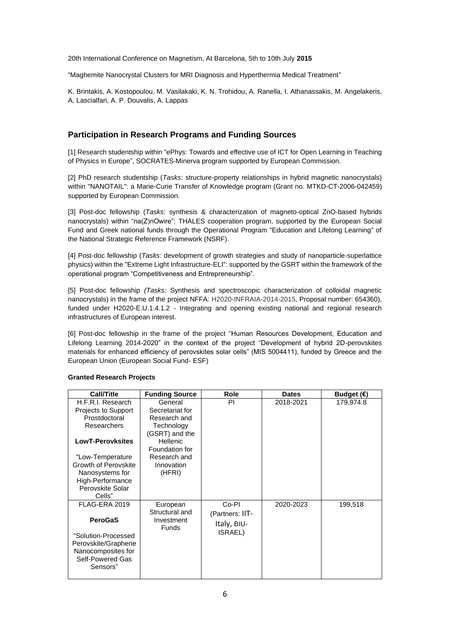20th International Conference on Magnetism, At Barcelona, 5th to 10th July **2015**

"Maghemite Nanocrystal Clusters for MRI Diagnosis and Hyperthermia Medical Treatment"

K. Brintakis, A. Kostopoulou, M. Vasilakaki, K. N. Trohidou, A. Ranella, I. Athanassakis, M. Angelakeris, A, Lascialfari, A. P. Douvalis, A. Lappas

## **Participation in Research Programs and Funding Sources**

[1] Research studentship within "ePhys: Towards and effective use of ICT for Open Learning in Teaching of Physics in Europe", SOCRATES-Minerva program supported by European Commission.

[2] PhD research studentship (*Tasks*: structure-property relationships in hybrid magnetic nanocrystals) within "NANOTAIL": a Marie-Curie Transfer of Knowledge program (Grant no. MTKD-CT-2006-042459) supported by European Commission.

[3] Post-doc fellowship (*Tasks*: synthesis & characterization of magneto-optical ZnO-based hybrids nanocrystals) within "na(Z)nOwire": THALES cooperation program, supported by the European Social Fund and Greek national funds through the Operational Program "Education and Lifelong Learning" of the National Strategic Reference Framework (NSRF).

[4] Post-doc fellowship (*Tasks*: development of growth strategies and study of nanoparticle-superlattice physics) within the "Extreme Light Infrastructure-ELI": supported by the GSRT within the framework of the operational program "Competitiveness and Entrepreneurship".

[5] Post-doc fellowship *(Tasks:* Synthesis and spectroscopic characterization of colloidal magnetic nanocrystals) in the frame of the project NFFA: H2020-INFRAIA-2014-2015, Proposal number: 654360), funded under H2020-E.U.1.4.1.2 - Integrating and opening existing national and regional research infrastructures of European interest.

[6] Post-doc fellowship in the frame of the project "Human Resources Development, Education and Lifelong Learning 2014-2020" in the context of the project "Development of hybrid 2D-perovskites materials for enhanced efficiency of perovskites solar cells" (MIS 5004411), funded by Greece and the European Union (European Social Fund- ESF)

| Call/Title                                                                                                         | <b>Funding Source</b>                                                                  | <b>Role</b>                                      | <b>Dates</b> | Budget $( \in )$ |
|--------------------------------------------------------------------------------------------------------------------|----------------------------------------------------------------------------------------|--------------------------------------------------|--------------|------------------|
| H.F.R.I. Research<br><b>Projects to Support</b><br>Prostdoctoral<br><b>Researchers</b><br><b>LowT-Perovksites</b>  | General<br>Secretariat for<br>Research and<br>Technology<br>(GSRT) and the<br>Hellenic | PI                                               | 2018-2021    | 179,974.8        |
|                                                                                                                    | Foundation for                                                                         |                                                  |              |                  |
| "Low-Temperature<br>Growth of Perovskite<br>Nanosystems for<br>High-Performance<br>Perovskite Solar<br>Cells"      | Research and<br>Innovation<br>(HFRI)                                                   |                                                  |              |                  |
| FLAG-ERA 2019                                                                                                      | European                                                                               | Co-PI                                            | 2020-2023    | 199,518          |
| <b>PeroGaS</b><br>"Solution-Processed<br>Perovskite/Graphene<br>Nanocomposites for<br>Self-Powered Gas<br>Sensors" | Structural and<br>Investment<br><b>Funds</b>                                           | (Partners: IIT-<br>Italy, BIU-<br><b>ISRAEL)</b> |              |                  |

#### **Granted Research Projects**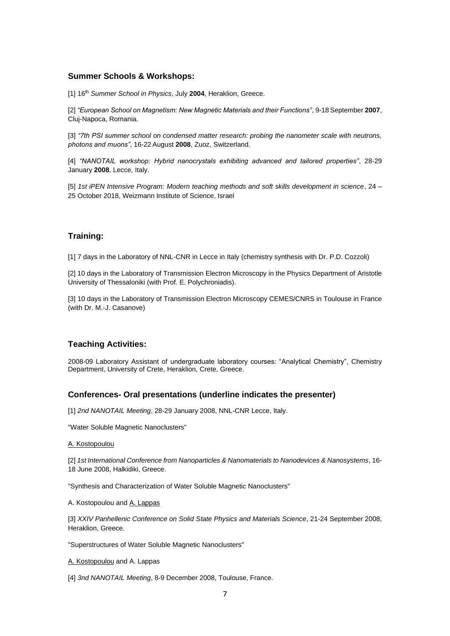## **Summer Schools & Workshops:**

[1] 16th *Summer School in Physics*, July **2004**, Heraklion, Greece.

[2] *"European School on Magnetism: New Magnetic Materials and their Functions"*, 9-18September **2007**, Cluj-Napoca, Romania.

[3] "7th PSI summer school on condensed matter research: probing the nanometer scale with neutrons, *photons and muons"*, 16-22 August **2008**, Zuoz, Switzerland.

[4] *"NANOTAIL workshop: Hybrid nanocrystals exhibiting advanced and tailored properties"*, 28-29 January **2008**, Lecce, Italy.

[5] *1st iPEN Intensive Program: Modern teaching methods and soft skills development in science*, 24 – 25 October 2018, Weizmann Institute of Science, Israel

### **Training:**

[1] 7 days in the Laboratory of NNL-CNR in Lecce in Italy (chemistry synthesis with Dr. P.D. Cozzoli)

[2] 10 days in the Laboratory of Transmission Electron Microscopy in the Physics Department of Aristotle University of Thessaloniki (with Prof. E. Polychroniadis).

[3] 10 days in the Laboratory of Transmission Electron Microscopy CEMES/CNRS in Toulouse in France (with Dr. M.-J. Casanove)

## **Teaching Activities:**

2008-09 Laboratory Assistant of undergraduate laboratory courses: "Analytical Chemistry", Chemistry Department, University of Crete, Heraklion, Crete, Greece.

#### **Conferences- Oral presentations (underline indicates the presenter)**

[1] *2nd NANOTAIL Meeting*, 28-29 January 2008, NNL-CNR Lecce, Italy.

"Water Soluble Magnetic Nanoclusters"

#### A. Kostopoulou

[2] *1st International Conference from Nanoparticles & Nanomaterials to Nanodevices & Nanosystems*, 16- 18 June 2008, Halkidiki, Greece.

"Synthesis and Characterization of Water Soluble Magnetic Nanoclusters"

A. Kostopoulou and A. Lappas

[3] *XXIV Panhellenic Conference on Solid State Physics and Materials Science*, 21-24 September 2008, Heraklion, Greece.

"Superstructures of Water Soluble Magnetic Nanoclusters"

A. Kostopoulou and A. Lappas

[4] *3nd NANOTAIL Meeting*, 8-9 December 2008, Toulouse, France.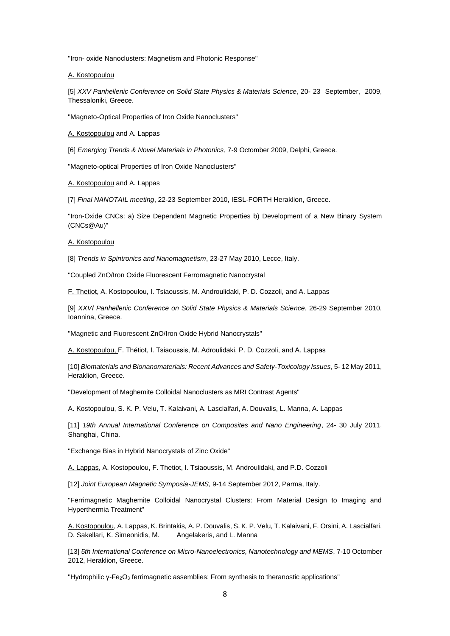"Iron- oxide Nanoclusters: Magnetism and Photonic Response"

A. Kostopoulou

[5] *XXV Panhellenic Conference on Solid State Physics & Materials Science*, 20- 23 September, 2009, Thessaloniki, Greece.

"Magneto-Optical Properties of Iron Oxide Nanoclusters"

A. Kostopoulou and A. Lappas

[6] *Emerging Trends & Novel Materials in Photonics*, 7-9 Octomber 2009, Delphi, Greece.

"Magneto-optical Properties of Iron Oxide Nanoclusters"

A. Kostopoulou and A. Lappas

[7] *Final NANOTAIL meeting*, 22-23 September 2010, IESL-FORTH Heraklion, Greece.

"Iron-Oxide CNCs: a) Size Dependent Magnetic Properties b) Development of a New Binary System (CNCs@Au)"

A. Kostopoulou

[8] *Trends in Spintronics and Nanomagnetism*, 23-27 May 2010, Lecce, Italy.

"Coupled ZnO/Iron Oxide Fluorescent Ferromagnetic Nanocrystal

F. Thetiot, A. Kostopoulou, I. Tsiaoussis, M. Androulidaki, P. D. Cozzoli, and A. Lappas

[9] *XXVΙ Panhellenic Conference on Solid State Physics & Materials Science*, 26-29 September 2010, Ioannina, Greece.

"Magnetic and Fluorescent ZnO/Iron Oxide Hybrid Nanocrystals"

A. Kostopoulou, F. Thétiot, I. Tsiaoussis, M. Adroulidaki, P. D. Cozzoli, and A. Lappas

[10] *Biomaterials and Bionanomaterials: Recent Advances and Safety-Toxicology Issues*, 5- 12 May 2011, Heraklion, Greece.

"Development of Maghemite Colloidal Nanoclusters as MRI Contrast Agents"

A. Kostopoulou, S. K. P. Velu, T. Kalaivani, A. Lascialfari, A. Douvalis, L. Manna, A. Lappas

[11] *19th Annual International Conference on Composites and Nano Engineering*, 24- 30 July 2011, Shanghai, China.

"Exchange Bias in Hybrid Nanocrystals of Zinc Oxide"

A. Lappas, A. Kostopoulou, F. Thetiot, I. Tsiaoussis, M. Androulidaki, and P.D. Cozzoli

[12] *Joint European Magnetic Symposia-JEMS*, 9-14 September 2012, Parma, Italy.

"Ferrimagnetic Maghemite Colloidal Nanocrystal Clusters: From Material Design to Imaging and Hyperthermia Treatment"

A. Kostopoulou, A. Lappas, K. Brintakis, A. P. Douvalis, S. K. P. Velu, T. Kalaivani, F. Orsini, A. Lascialfari, D. Sakellari, K. Simeonidis, Μ. Αngelakeris, and L. Manna

[13] *5th International Conference on Micro-Nanoelectronics, Nanotechnology and MEMS*, 7-10 Octomber 2012, Heraklion, Greece.

"Hydrophilic γ-Fe2O<sup>3</sup> ferrimagnetic assemblies: From synthesis to theranostic applications"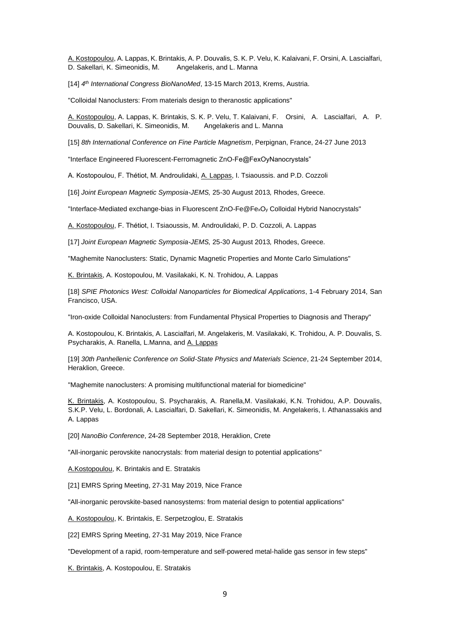A. Kostopoulou, A. Lappas, K. Brintakis, A. P. Douvalis, S. K. P. Velu, K. Kalaivani, F. Orsini, A. Lascialfari, D. Sakellari, K. Simeonidis, Μ. Αngelakeris, and L. Manna

[14] *4 th International Congress BioNanoMed*, 13-15 March 2013, Krems, Austria.

"Colloidal Nanoclusters: From materials design to theranostic applications"

A. Kostopoulou, A. Lappas, K. Brintakis, S. K. P. Velu, T. Kalaivani, F. Orsini, A. Lascialfari, A. P. Douvalis, D. Sakellari, K. Simeonidis, Μ. Αngelakeris and L. Manna

[15] *8th International Conference on Fine Particle Magnetism*, Perpignan, France, 24-27 June 2013

"Interface Engineered Fluorescent-Ferromagnetic ZnO-Fe@FexOyNanocrystals"

A. Kostopoulou, F. Thétiot, M. Androulidaki, A. Lappas, I. Tsiaoussis. and P.D. Cozzoli

[16] *Joint European Magnetic Symposia-JEMS,* 25-30 August 2013*,* Rhodes, Greece.

"Interface-Mediated exchange-bias in Fluorescent ZnO-Fe@Fe<sub>x</sub>O<sub>y</sub> Colloidal Hybrid Nanocrystals"

A. Kostopoulou, F. Thétiot, I. Tsiaoussis, M. Androulidaki, P. D. Cozzoli, A. Lappas

[17] *Joint European Magnetic Symposia-JEMS,* 25-30 August 2013*,* Rhodes, Greece.

"Maghemite Nanoclusters: Static, Dynamic Magnetic Properties and Monte Carlo Simulations"

K. Brintakis, A. Kostopoulou, M. Vasilakaki, K. N. Trohidou, A. Lappas

[18] *SPIE Photonics West: Colloidal Nanoparticles for Biomedical Applications*, 1-4 February 2014, San Francisco, USA.

"Iron-oxide Colloidal Nanoclusters: from Fundamental Physical Properties to Diagnosis and Therapy"

A. Kostopoulou, K. Brintakis, A. Lascialfari, M. Angelakeris, M. Vasilakaki, K. Trohidou, A. P. Douvalis, S. Psycharakis, A. Ranella, L.Manna, and A. Lappas

[19] *30th Panhellenic Conference on Solid-State Physics and Materials Science*, 21-24 September 2014, Heraklion, Greece.

"Maghemite nanoclusters: A promising multifunctional material for biomedicine"

K. Brintakis, A. Kostopoulou, S. Psycharakis, A. Ranella,M. Vasilakaki, K.N. Trohidou, A.P. Douvalis, S.K.P. Velu, L. Bordonali, A. Lascialfari, D. Sakellari, K. Simeonidis, M. Angelakeris, I. Athanassakis and A. Lappas

[20] *NanoBio Conference*, 24-28 September 2018, Heraklion, Crete

"All-inorganic perovskite nanocrystals: from material design to potential applications"

A.Kostopoulou, K. Brintakis and E. Stratakis

[21] EMRS Spring Meeting, 27-31 May 2019, Nice France

"All-inorganic perovskite-based nanosystems: from material design to potential applications"

A. Kostopoulou, K. Brintakis, E. Serpetzoglou, E. Stratakis

[22] EMRS Spring Meeting, 27-31 May 2019, Nice France

"Development of a rapid, room-temperature and self-powered metal-halide gas sensor in few steps"

K. Brintakis, A. Kostopoulou, E. Stratakis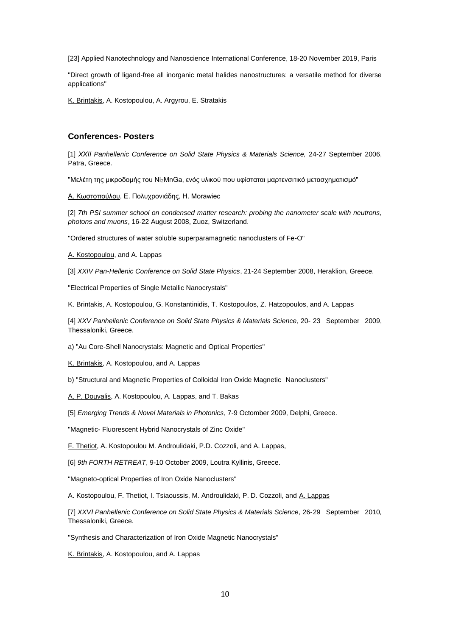[23] Applied Nanotechnology and Nanoscience International Conference, 18-20 November 2019, Paris

"Direct growth of ligand-free all inorganic metal halides nanostructures: a versatile method for diverse applications"

K. Brintakis, A. Kostopoulou, A. Argyrou, E. Stratakis

#### **Conferences- Posters**

[1] *ΧΧΙΙ Panhellenic Conference on Solid State Physics & Materials Science,* 24-27 September 2006, Patra, Greece.

"Μελέτη της μικροδομής του Ni2MnGa, ενός υλικού που υφίσταται μαρτενσιτικό μετασχηματισμό"

Α. Κωστοπούλου, Ε. Πολυχρονιάδης, Η. Morawiec

[2] 7th PSI summer school on condensed matter research: probing the nanometer scale with neutrons, *photons and muons*, 16-22 August 2008, Zuoz, Switzerland.

"Ordered structures of water soluble superparamagnetic nanoclusters of Fe-O"

A. Kostopoulou, and A. Lappas

[3] *XXIV Pan-Hellenic Conference on Solid State Physics*, 21-24 September 2008, Heraklion, Greece.

"Electrical Properties of Single Metallic Nanocrystals"

K. Brintakis, A. Kostopoulou, G. Konstantinidis, T. Kostopoulos, Z. Hatzopoulos, and A. Lappas

[4] *XXV Panhellenic Conference on Solid State Physics & Materials Science*, 20- 23 September 2009, Thessaloniki, Greece.

a) "Au Core-Shell Nanocrystals: Magnetic and Optical Properties"

K. Brintakis, A. Kostopoulou, and A. Lappas

b) "Structural and Magnetic Properties of Colloidal Iron Oxide Magnetic Nanoclusters"

A. P. Douvalis, A. Kostopoulou, A. Lappas, and T. Bakas

[5] *Emerging Trends & Novel Materials in Photonics*, 7-9 Octomber 2009, Delphi, Greece.

"Magnetic- Fluorescent Hybrid Nanocrystals of Zinc Oxide"

F. Thetiot, A. Kostopoulou M. Androulidaki, P.D. Cozzoli, and A. Lappas,

[6] *9th FORTH RETREAT*, 9-10 October 2009, Loutra Kyllinis, Greece.

"Magneto-optical Properties of Iron Oxide Nanoclusters"

A. Kostopoulou, F. Thetiot, I. Tsiaoussis, M. Androulidaki, P. D. Cozzoli, and A. Lappas

[7] *XXVΙ Panhellenic Conference on Solid State Physics & Materials Science*, 26-29 September 2010*,*  Thessaloniki, Greece.

"Synthesis and Characterization of Iron Oxide Magnetic Nanocrystals"

K. Brintakis, A. Kostopoulou, and A. Lappas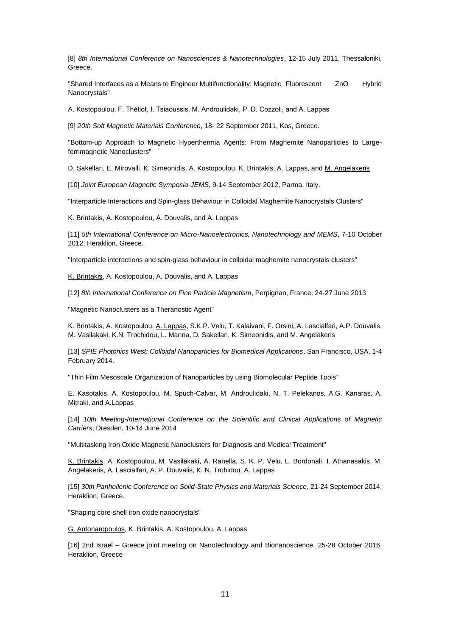[8] *8th International Conference on Nanosciences & Nanotechnologies*, 12-15 July 2011, Thessaloniki, Greece.

"Shared Interfaces as a Means to Engineer Multifunctionality: Magnetic Fluorescent ZnO Hybrid Nanocrystals"

A. Kostopoulou, F. Thétiot, I. Tsiaoussis, M. Androulidaki, P. D. Cozzoli, and A. Lappas

[9] *20th Soft Magnetic Materials Conference*, 18- 22 September 2011, Kos, Greece.

"Bottom-up Approach to Magnetic Hyperthermia Agents: From Maghemite Nanoparticles to Largeferrimagnetic Nanoclusters"

D. Sakellari, E. Mirovalli, K. Simeonidis, A. Kostopoulou, K. Brintakis, A. Lappas, and M. Angelakeris

[10] *Joint European Magnetic Symposia-JEMS*, 9-14 September 2012, Parma, Italy.

"Interparticle Interactions and Spin-glass Behaviour in Colloidal Maghemite Nanocrystals Clusters"

K. Brintakis, A. Kostopoulou, A. Douvalis, and A. Lappas

[11] *5th International Conference on Micro-Nanoelectronics, Nanotechnology and MEMS*, 7-10 October 2012, Heraklion, Greece.

"Interparticle interactions and spin-glass behaviour in colloidal maghemite nanocrystals clusters"

K. Brintakis, A. Kostopoulou, A. Douvalis, and A. Lappas

[12] *8th International Conference on Fine Particle Magnetism*, Perpignan, France, 24-27 June 2013

"Magnetic Nanoclusters as a Theranostic Agent"

K. Brintakis, A. Kostopoulou, A. Lappas, S.K.P. Velu, T. Kalaivani, F. Orsini, A. Lascialfari, A.P. Douvalis, M. Vasilakaki, K.N. Trochidou, L. Manna, D. Sakellari, K. Simeonidis, and M. Angelakeris

[13] *SPIE Photonics West: Colloidal Nanoparticles for Biomedical Applications*, San Francisco, USA, 1-4 February 2014.

"Thin Film Mesoscale Organization of Nanoparticles by using Biomolecular Peptide Tools"

E. Kasotakis, A. Kostopoulou, M. Spuch-Calvar, M. Androulidaki, N. T. Pelekanos, A.G. Kanaras, A. Mitraki, and A.Lappas

[14] *10th Meeting-International Conference on the Scientific and Clinical Applications of Magnetic Carriers*, Dresden, 10-14 June 2014

"Multitasking Iron Oxide Magnetic Nanoclusters for Diagnosis and Medical Treatment"

K. Brintakis, A. Kostopoulou, M. Vasilakaki, A. Ranella, S. K. P. Velu, L. Bordonali, I. Athanasakis, M. Angelakeris, A. Lascialfari, A. P. Douvalis, K. N. Trohidou, A. Lappas

[15] *30th Panhellenic Conference on Solid-State Physics and Materials Science*, 21-24 September 2014, Heraklion, Greece.

"Shaping core-shell iron oxide nanocrystals"

G. Antonaropoulos, K. Brintakis, A. Kostopoulou, A. Lappas

[16] 2nd Israel – Greece joint meeting on Nanotechnology and Bionanoscience, 25-28 October 2016, Heraklion, Greece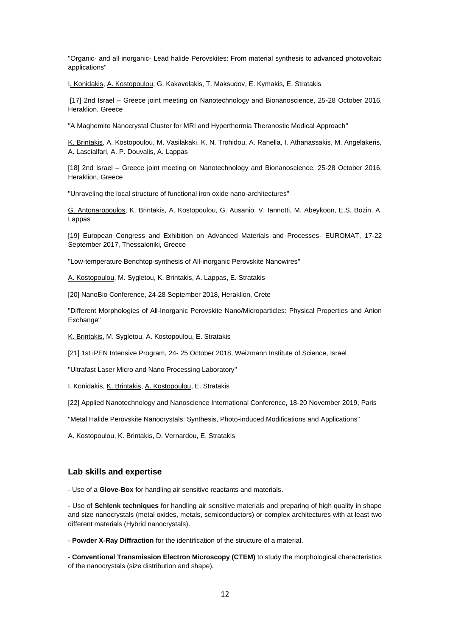"Organic- and all inorganic- Lead halide Perovskites: From material synthesis to advanced photovoltaic applications"

I. Konidakis, A. Kostopoulou, G. Kakavelakis, T. Maksudov, E. Kymakis, E. Stratakis

[17] 2nd Israel – Greece joint meeting on Nanotechnology and Bionanoscience, 25-28 October 2016, Heraklion, Greece

"A Maghemite Nanocrystal Cluster for MRI and Hyperthermia Theranostic Medical Approach"

K. Brintakis, A. Kostopoulou, M. Vasilakaki, K. N. Trohidou, A. Ranella, I. Athanassakis, M. Angelakeris, A. Lascialfari, A. P. Douvalis, A. Lappas

[18] 2nd Israel – Greece joint meeting on Nanotechnology and Bionanoscience, 25-28 October 2016, Heraklion, Greece

"Unraveling the local structure of functional iron oxide nano-architectures"

G. Antonaropoulos, K. Brintakis, A. Kostopoulou, G. Ausanio, V. Iannotti, M. Abeykoon, E.S. Bozin, A. Lappas

[19] European Congress and Exhibition on Advanced Materials and Processes- EUROMAT, 17-22 September 2017, Thessaloniki, Greece

"Low-temperature Benchtop-synthesis of All-inorganic Perovskite Nanowires"

A. Kostopoulou, M. Sygletou, K. Brintakis, A. Lappas, E. Stratakis

[20] NanoBio Conference, 24-28 September 2018, Heraklion, Crete

"Different Morphologies of All-Inorganic Perovskite Nano/Microparticles: Physical Properties and Anion Exchange"

K. Brintakis, M. Sygletou, A. Kostopoulou, E. Stratakis

[21] 1st iPEN Intensive Program, 24- 25 October 2018, Weizmann Institute of Science, Israel

"Ultrafast Laser Micro and Nano Processing Laboratory"

I. Konidakis, K. Brintakis, A. Kostopoulou, E. Stratakis

[22] Applied Nanotechnology and Nanoscience International Conference, 18-20 November 2019, Paris

"Metal Halide Perovskite Nanocrystals: Synthesis, Photo-induced Modifications and Applications"

A. Kostopoulou, K. Brintakis, D. Vernardou, E. Stratakis

#### **Lab skills and expertise**

- Use of a **Glove-Box** for handling air sensitive reactants and materials.

- Use of **Schlenk techniques** for handling air sensitive materials and preparing of high quality in shape and size nanocrystals (metal oxides, metals, semiconductors) or complex architectures with at least two different materials (Hybrid nanocrystals).

- **Powder X-Ray Diffraction** for the identification of the structure of a material.

- **Conventional Transmission Electron Microscopy (CTEM)** to study the morphological characteristics of the nanocrystals (size distribution and shape).